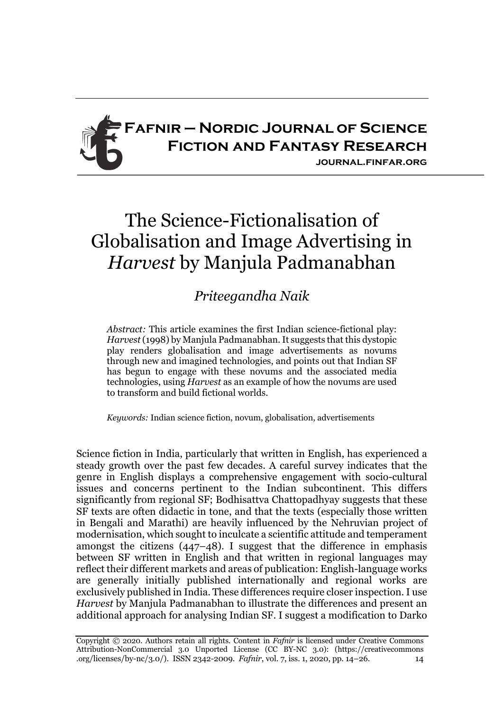

## The Science-Fictionalisation of Globalisation and Image Advertising in *Harvest* by Manjula Padmanabhan

## *Priteegandha Naik*

*Abstract:* This article examines the first Indian science-fictional play: *Harvest*(1998) by Manjula Padmanabhan. It suggests that this dystopic play renders globalisation and image advertisements as novums through new and imagined technologies, and points out that Indian SF has begun to engage with these novums and the associated media technologies, using *Harvest* as an example of how the novums are used to transform and build fictional worlds.

*Keywords:* Indian science fiction, novum, globalisation, advertisements

Science fiction in India, particularly that written in English, has experienced a steady growth over the past few decades. A careful survey indicates that the genre in English displays a comprehensive engagement with socio-cultural issues and concerns pertinent to the Indian subcontinent. This differs significantly from regional SF; Bodhisattva Chattopadhyay suggests that these SF texts are often didactic in tone, and that the texts (especially those written in Bengali and Marathi) are heavily influenced by the Nehruvian project of modernisation, which sought to inculcate a scientific attitude and temperament amongst the citizens (447–48). I suggest that the difference in emphasis between SF written in English and that written in regional languages may reflect their different markets and areas of publication: English-language works are generally initially published internationally and regional works are exclusively published in India. These differences require closer inspection. I use *Harvest* by Manjula Padmanabhan to illustrate the differences and present an additional approach for analysing Indian SF. I suggest a modification to Darko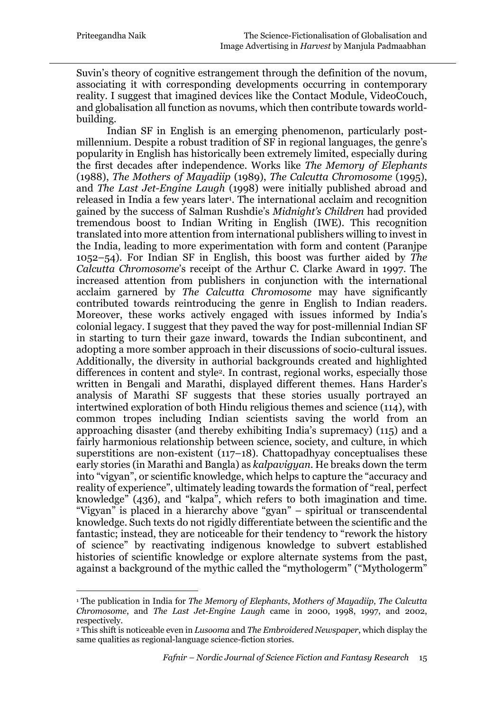Suvin's theory of cognitive estrangement through the definition of the novum, associating it with corresponding developments occurring in contemporary reality. I suggest that imagined devices like the Contact Module, VideoCouch, and globalisation all function as novums, which then contribute towards worldbuilding.

Indian SF in English is an emerging phenomenon, particularly postmillennium. Despite a robust tradition of SF in regional languages, the genre's popularity in English has historically been extremely limited, especially during the first decades after independence. Works like *The Memory of Elephants* (1988), *The Mothers of Mayadiip* (1989), *The Calcutta Chromosome* (1995), and *The Last Jet-Engine Laugh* (1998) were initially published abroad and released in India a few years later<sup>1</sup>. The international acclaim and recognition gained by the success of Salman Rushdie's *Midnight's Children* had provided tremendous boost to Indian Writing in English (IWE). This recognition translated into more attention from international publishers willing to invest in the India, leading to more experimentation with form and content (Paranjpe 1052–54). For Indian SF in English, this boost was further aided by *The Calcutta Chromosome*'s receipt of the Arthur C. Clarke Award in 1997. The increased attention from publishers in conjunction with the international acclaim garnered by *The Calcutta Chromosome* may have significantly contributed towards reintroducing the genre in English to Indian readers. Moreover, these works actively engaged with issues informed by India's colonial legacy. I suggest that they paved the way for post-millennial Indian SF in starting to turn their gaze inward, towards the Indian subcontinent, and adopting a more somber approach in their discussions of socio-cultural issues. Additionally, the diversity in authorial backgrounds created and highlighted differences in content and style2. In contrast, regional works, especially those written in Bengali and Marathi, displayed different themes. Hans Harder's analysis of Marathi SF suggests that these stories usually portrayed an intertwined exploration of both Hindu religious themes and science (114), with common tropes including Indian scientists saving the world from an approaching disaster (and thereby exhibiting India's supremacy) (115) and a fairly harmonious relationship between science, society, and culture, in which superstitions are non-existent (117–18). Chattopadhyay conceptualises these early stories (in Marathi and Bangla) as *kalpavigyan*. He breaks down the term into "vigyan", or scientific knowledge, which helps to capture the "accuracy and reality of experience", ultimately leading towards the formation of "real, perfect knowledge" (436), and "kalpa", which refers to both imagination and time. "Vigyan" is placed in a hierarchy above "gyan" – spiritual or transcendental knowledge. Such texts do not rigidly differentiate between the scientific and the fantastic; instead, they are noticeable for their tendency to "rework the history of science" by reactivating indigenous knowledge to subvert established histories of scientific knowledge or explore alternate systems from the past, against a background of the mythic called the "mythologerm" ("Mythologerm"

<sup>1</sup> The publication in India for *The Memory of Elephants*, *Mothers of Mayadiip*, *The Calcutta Chromosome*, and *The Last Jet-Engine Laugh* came in 2000, 1998, 1997, and 2002, respectively.

<sup>2</sup> This shift is noticeable even in *Lusooma* and *The Embroidered Newspaper*, which display the same qualities as regional-language science-fiction stories.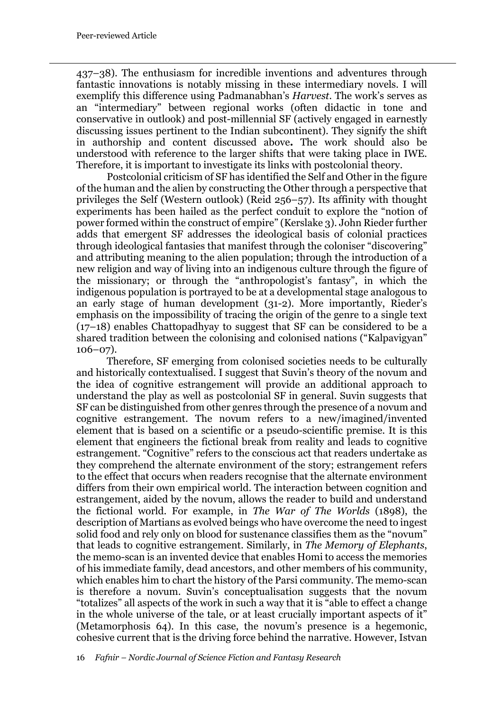437–38). The enthusiasm for incredible inventions and adventures through fantastic innovations is notably missing in these intermediary novels. I will exemplify this difference using Padmanabhan's *Harvest*. The work's serves as an "intermediary" between regional works (often didactic in tone and conservative in outlook) and post-millennial SF (actively engaged in earnestly discussing issues pertinent to the Indian subcontinent). They signify the shift in authorship and content discussed above**.** The work should also be understood with reference to the larger shifts that were taking place in IWE. Therefore, it is important to investigate its links with postcolonial theory.

Postcolonial criticism of SF has identified the Self and Other in the figure of the human and the alien by constructing the Other through a perspective that privileges the Self (Western outlook) (Reid 256–57). Its affinity with thought experiments has been hailed as the perfect conduit to explore the "notion of power formed within the construct of empire" (Kerslake 3). John Rieder further adds that emergent SF addresses the ideological basis of colonial practices through ideological fantasies that manifest through the coloniser "discovering" and attributing meaning to the alien population; through the introduction of a new religion and way of living into an indigenous culture through the figure of the missionary; or through the "anthropologist's fantasy", in which the indigenous population is portrayed to be at a developmental stage analogous to an early stage of human development (31-2). More importantly, Rieder's emphasis on the impossibility of tracing the origin of the genre to a single text (17–18) enables Chattopadhyay to suggest that SF can be considered to be a shared tradition between the colonising and colonised nations ("Kalpavigyan" 106–07).

Therefore, SF emerging from colonised societies needs to be culturally and historically contextualised. I suggest that Suvin's theory of the novum and the idea of cognitive estrangement will provide an additional approach to understand the play as well as postcolonial SF in general. Suvin suggests that SF can be distinguished from other genres through the presence of a novum and cognitive estrangement. The novum refers to a new/imagined/invented element that is based on a scientific or a pseudo-scientific premise. It is this element that engineers the fictional break from reality and leads to cognitive estrangement. "Cognitive" refers to the conscious act that readers undertake as they comprehend the alternate environment of the story; estrangement refers to the effect that occurs when readers recognise that the alternate environment differs from their own empirical world. The interaction between cognition and estrangement, aided by the novum, allows the reader to build and understand the fictional world. For example, in *The War of The Worlds* (1898), the description of Martians as evolved beings who have overcome the need to ingest solid food and rely only on blood for sustenance classifies them as the "novum" that leads to cognitive estrangement. Similarly, in *The Memory of Elephants*, the memo-scan is an invented device that enables Homi to access the memories of his immediate family, dead ancestors, and other members of his community, which enables him to chart the history of the Parsi community. The memo-scan is therefore a novum. Suvin's conceptualisation suggests that the novum "totalizes" all aspects of the work in such a way that it is "able to effect a change in the whole universe of the tale, or at least crucially important aspects of it" (Metamorphosis 64). In this case, the novum's presence is a hegemonic, cohesive current that is the driving force behind the narrative. However, Istvan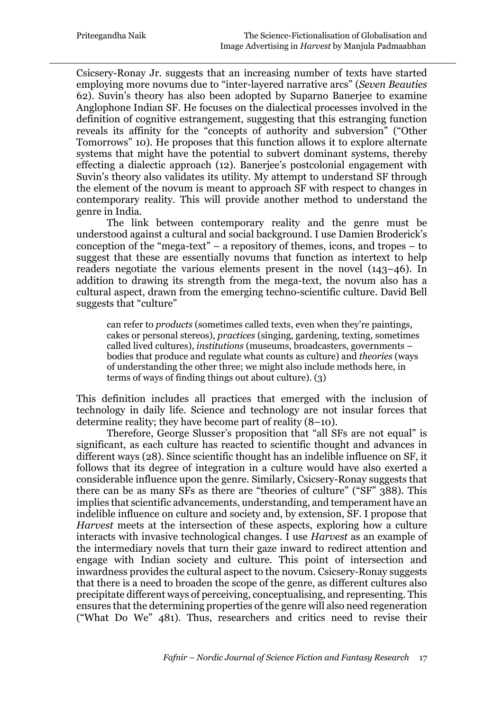Csicsery-Ronay Jr. suggests that an increasing number of texts have started employing more novums due to "inter-layered narrative arcs" (*Seven Beauties* 62). Suvin's theory has also been adopted by Suparno Banerjee to examine Anglophone Indian SF. He focuses on the dialectical processes involved in the definition of cognitive estrangement, suggesting that this estranging function reveals its affinity for the "concepts of authority and subversion" ("Other Tomorrows" 10). He proposes that this function allows it to explore alternate systems that might have the potential to subvert dominant systems, thereby effecting a dialectic approach (12). Banerjee's postcolonial engagement with Suvin's theory also validates its utility. My attempt to understand SF through the element of the novum is meant to approach SF with respect to changes in contemporary reality. This will provide another method to understand the genre in India.

The link between contemporary reality and the genre must be understood against a cultural and social background. I use Damien Broderick's conception of the "mega-text" – a repository of themes, icons, and tropes – to suggest that these are essentially novums that function as intertext to help readers negotiate the various elements present in the novel (143–46). In addition to drawing its strength from the mega-text, the novum also has a cultural aspect, drawn from the emerging techno-scientific culture. David Bell suggests that "culture"

can refer to *products* (sometimes called texts, even when they're paintings, cakes or personal stereos), *practices* (singing, gardening, texting, sometimes called lived cultures), *institutions* (museums, broadcasters, governments – bodies that produce and regulate what counts as culture) and *theories* (ways of understanding the other three; we might also include methods here, in terms of ways of finding things out about culture). (3)

This definition includes all practices that emerged with the inclusion of technology in daily life. Science and technology are not insular forces that determine reality; they have become part of reality (8–10).

Therefore, George Slusser's proposition that "all SFs are not equal" is significant, as each culture has reacted to scientific thought and advances in different ways (28). Since scientific thought has an indelible influence on SF, it follows that its degree of integration in a culture would have also exerted a considerable influence upon the genre. Similarly, Csicsery-Ronay suggests that there can be as many SFs as there are "theories of culture" ("SF" 388). This implies that scientific advancements, understanding, and temperament have an indelible influence on culture and society and, by extension, SF. I propose that *Harvest* meets at the intersection of these aspects, exploring how a culture interacts with invasive technological changes. I use *Harvest* as an example of the intermediary novels that turn their gaze inward to redirect attention and engage with Indian society and culture. This point of intersection and inwardness provides the cultural aspect to the novum. Csicsery-Ronay suggests that there is a need to broaden the scope of the genre, as different cultures also precipitate different ways of perceiving, conceptualising, and representing. This ensures that the determining properties of the genre will also need regeneration ("What Do We" 481). Thus, researchers and critics need to revise their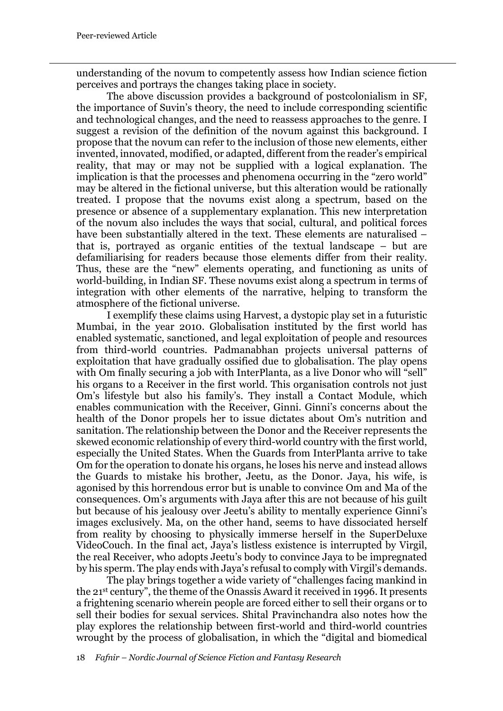understanding of the novum to competently assess how Indian science fiction perceives and portrays the changes taking place in society.

The above discussion provides a background of postcolonialism in SF, the importance of Suvin's theory, the need to include corresponding scientific and technological changes, and the need to reassess approaches to the genre. I suggest a revision of the definition of the novum against this background. I propose that the novum can refer to the inclusion of those new elements, either invented, innovated, modified, or adapted, different from the reader's empirical reality, that may or may not be supplied with a logical explanation. The implication is that the processes and phenomena occurring in the "zero world" may be altered in the fictional universe, but this alteration would be rationally treated. I propose that the novums exist along a spectrum, based on the presence or absence of a supplementary explanation. This new interpretation of the novum also includes the ways that social, cultural, and political forces have been substantially altered in the text. These elements are naturalised – that is, portrayed as organic entities of the textual landscape – but are defamiliarising for readers because those elements differ from their reality. Thus, these are the "new" elements operating, and functioning as units of world-building, in Indian SF. These novums exist along a spectrum in terms of integration with other elements of the narrative, helping to transform the atmosphere of the fictional universe.

I exemplify these claims using Harvest, a dystopic play set in a futuristic Mumbai, in the year 2010. Globalisation instituted by the first world has enabled systematic, sanctioned, and legal exploitation of people and resources from third-world countries. Padmanabhan projects universal patterns of exploitation that have gradually ossified due to globalisation. The play opens with Om finally securing a job with InterPlanta, as a live Donor who will "sell" his organs to a Receiver in the first world. This organisation controls not just Om's lifestyle but also his family's. They install a Contact Module, which enables communication with the Receiver, Ginni. Ginni's concerns about the health of the Donor propels her to issue dictates about Om's nutrition and sanitation. The relationship between the Donor and the Receiver represents the skewed economic relationship of every third-world country with the first world, especially the United States. When the Guards from InterPlanta arrive to take Om for the operation to donate his organs, he loses his nerve and instead allows the Guards to mistake his brother, Jeetu, as the Donor. Jaya, his wife, is agonised by this horrendous error but is unable to convince Om and Ma of the consequences. Om's arguments with Jaya after this are not because of his guilt but because of his jealousy over Jeetu's ability to mentally experience Ginni's images exclusively. Ma, on the other hand, seems to have dissociated herself from reality by choosing to physically immerse herself in the SuperDeluxe VideoCouch. In the final act, Jaya's listless existence is interrupted by Virgil, the real Receiver, who adopts Jeetu's body to convince Jaya to be impregnated by his sperm. The play ends with Jaya's refusal to comply with Virgil's demands.

The play brings together a wide variety of "challenges facing mankind in the 21st century", the theme of the Onassis Award it received in 1996. It presents a frightening scenario wherein people are forced either to sell their organs or to sell their bodies for sexual services. Shital Pravinchandra also notes how the play explores the relationship between first-world and third-world countries wrought by the process of globalisation, in which the "digital and biomedical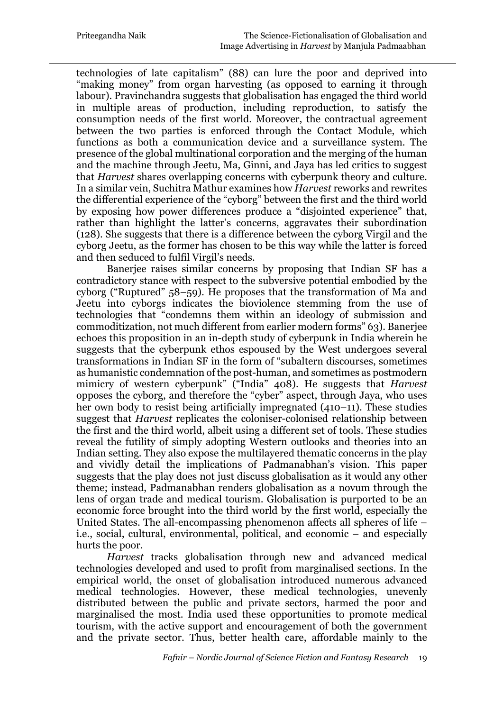technologies of late capitalism" (88) can lure the poor and deprived into "making money" from organ harvesting (as opposed to earning it through labour). Pravinchandra suggests that globalisation has engaged the third world in multiple areas of production, including reproduction, to satisfy the consumption needs of the first world. Moreover, the contractual agreement between the two parties is enforced through the Contact Module, which functions as both a communication device and a surveillance system. The presence of the global multinational corporation and the merging of the human and the machine through Jeetu, Ma, Ginni, and Jaya has led critics to suggest that *Harvest* shares overlapping concerns with cyberpunk theory and culture. In a similar vein, Suchitra Mathur examines how *Harvest* reworks and rewrites the differential experience of the "cyborg" between the first and the third world by exposing how power differences produce a "disjointed experience" that, rather than highlight the latter's concerns, aggravates their subordination (128). She suggests that there is a difference between the cyborg Virgil and the cyborg Jeetu, as the former has chosen to be this way while the latter is forced and then seduced to fulfil Virgil's needs.

Banerjee raises similar concerns by proposing that Indian SF has a contradictory stance with respect to the subversive potential embodied by the cyborg ("Ruptured" 58–59). He proposes that the transformation of Ma and Jeetu into cyborgs indicates the bioviolence stemming from the use of technologies that "condemns them within an ideology of submission and commoditization, not much different from earlier modern forms" 63). Banerjee echoes this proposition in an in-depth study of cyberpunk in India wherein he suggests that the cyberpunk ethos espoused by the West undergoes several transformations in Indian SF in the form of "subaltern discourses, sometimes as humanistic condemnation of the post-human, and sometimes as postmodern mimicry of western cyberpunk" ("India" 408). He suggests that *Harvest* opposes the cyborg, and therefore the "cyber" aspect, through Jaya, who uses her own body to resist being artificially impregnated (410–11). These studies suggest that *Harvest* replicates the coloniser-colonised relationship between the first and the third world, albeit using a different set of tools. These studies reveal the futility of simply adopting Western outlooks and theories into an Indian setting. They also expose the multilayered thematic concerns in the play and vividly detail the implications of Padmanabhan's vision. This paper suggests that the play does not just discuss globalisation as it would any other theme; instead, Padmanabhan renders globalisation as a novum through the lens of organ trade and medical tourism. Globalisation is purported to be an economic force brought into the third world by the first world, especially the United States. The all-encompassing phenomenon affects all spheres of life – i.e., social, cultural, environmental, political, and economic – and especially hurts the poor.

*Harvest* tracks globalisation through new and advanced medical technologies developed and used to profit from marginalised sections. In the empirical world, the onset of globalisation introduced numerous advanced medical technologies. However, these medical technologies, unevenly distributed between the public and private sectors, harmed the poor and marginalised the most. India used these opportunities to promote medical tourism, with the active support and encouragement of both the government and the private sector. Thus, better health care, affordable mainly to the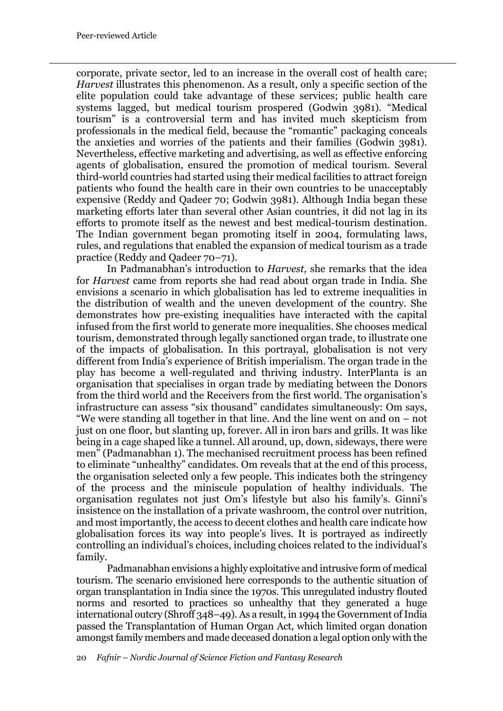corporate, private sector, led to an increase in the overall cost of health care; *Harvest* illustrates this phenomenon. As a result, only a specific section of the elite population could take advantage of these services; public health care systems lagged, but medical tourism prospered (Godwin 3981). "Medical tourism" is a controversial term and has invited much skepticism from professionals in the medical field, because the "romantic" packaging conceals the anxieties and worries of the patients and their families (Godwin 3981). Nevertheless, effective marketing and advertising, as well as effective enforcing agents of globalisation, ensured the promotion of medical tourism. Several third-world countries had started using their medical facilities to attract foreign patients who found the health care in their own countries to be unacceptably expensive (Reddy and Qadeer 70; Godwin 3981). Although India began these marketing efforts later than several other Asian countries, it did not lag in its efforts to promote itself as the newest and best medical-tourism destination. The Indian government began promoting itself in 2004, formulating laws, rules, and regulations that enabled the expansion of medical tourism as a trade practice (Reddy and Qadeer 70–71).

In Padmanabhan's introduction to *Harvest,* she remarks that the idea for *Harvest* came from reports she had read about organ trade in India. She envisions a scenario in which globalisation has led to extreme inequalities in the distribution of wealth and the uneven development of the country. She demonstrates how pre-existing inequalities have interacted with the capital infused from the first world to generate more inequalities. She chooses medical tourism, demonstrated through legally sanctioned organ trade, to illustrate one of the impacts of globalisation. In this portrayal, globalisation is not very different from India's experience of British imperialism. The organ trade in the play has become a well-regulated and thriving industry. InterPlanta is an organisation that specialises in organ trade by mediating between the Donors from the third world and the Receivers from the first world. The organisation's infrastructure can assess "six thousand" candidates simultaneously: Om says, "We were standing all together in that line. And the line went on and on – not just on one floor, but slanting up, forever. All in iron bars and grills. It was like being in a cage shaped like a tunnel. All around, up, down, sideways, there were men" (Padmanabhan 1). The mechanised recruitment process has been refined to eliminate "unhealthy" candidates. Om reveals that at the end of this process, the organisation selected only a few people. This indicates both the stringency of the process and the miniscule population of healthy individuals. The organisation regulates not just Om's lifestyle but also his family's. Ginni's insistence on the installation of a private washroom, the control over nutrition, and most importantly, the access to decent clothes and health care indicate how globalisation forces its way into people's lives. It is portrayed as indirectly controlling an individual's choices, including choices related to the individual's family.

Padmanabhan envisions a highly exploitative and intrusive form of medical tourism. The scenario envisioned here corresponds to the authentic situation of organ transplantation in India since the 1970s. This unregulated industry flouted norms and resorted to practices so unhealthy that they generated a huge international outcry (Shroff 348–49). As a result, in 1994 the Government of India passed the Transplantation of Human Organ Act, which limited organ donation amongst family members and made deceased donation a legal option only with the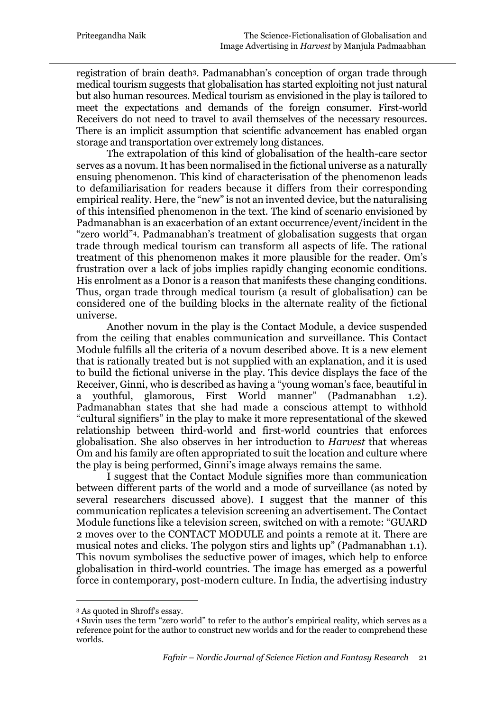registration of brain death3. Padmanabhan's conception of organ trade through medical tourism suggests that globalisation has started exploiting not just natural but also human resources. Medical tourism as envisioned in the play is tailored to meet the expectations and demands of the foreign consumer. First-world Receivers do not need to travel to avail themselves of the necessary resources. There is an implicit assumption that scientific advancement has enabled organ storage and transportation over extremely long distances.

The extrapolation of this kind of globalisation of the health-care sector serves as a novum. It has been normalised in the fictional universe as a naturally ensuing phenomenon. This kind of characterisation of the phenomenon leads to defamiliarisation for readers because it differs from their corresponding empirical reality. Here, the "new" is not an invented device, but the naturalising of this intensified phenomenon in the text. The kind of scenario envisioned by Padmanabhan is an exacerbation of an extant occurrence/event/incident in the "zero world"4. Padmanabhan's treatment of globalisation suggests that organ trade through medical tourism can transform all aspects of life. The rational treatment of this phenomenon makes it more plausible for the reader. Om's frustration over a lack of jobs implies rapidly changing economic conditions. His enrolment as a Donor is a reason that manifests these changing conditions. Thus, organ trade through medical tourism (a result of globalisation) can be considered one of the building blocks in the alternate reality of the fictional universe.

Another novum in the play is the Contact Module, a device suspended from the ceiling that enables communication and surveillance. This Contact Module fulfills all the criteria of a novum described above. It is a new element that is rationally treated but is not supplied with an explanation, and it is used to build the fictional universe in the play. This device displays the face of the Receiver, Ginni, who is described as having a "young woman's face, beautiful in a youthful, glamorous, First World manner" (Padmanabhan 1.2). Padmanabhan states that she had made a conscious attempt to withhold "cultural signifiers" in the play to make it more representational of the skewed relationship between third-world and first-world countries that enforces globalisation. She also observes in her introduction to *Harvest* that whereas Om and his family are often appropriated to suit the location and culture where the play is being performed, Ginni's image always remains the same.

I suggest that the Contact Module signifies more than communication between different parts of the world and a mode of surveillance (as noted by several researchers discussed above). I suggest that the manner of this communication replicates a television screening an advertisement. The Contact Module functions like a television screen, switched on with a remote: "GUARD 2 moves over to the CONTACT MODULE and points a remote at it. There are musical notes and clicks. The polygon stirs and lights up" (Padmanabhan 1.1). This novum symbolises the seductive power of images, which help to enforce globalisation in third-world countries. The image has emerged as a powerful force in contemporary, post-modern culture. In India, the advertising industry

<sup>3</sup> As quoted in Shroff's essay.

<sup>4</sup> Suvin uses the term "zero world" to refer to the author's empirical reality, which serves as a reference point for the author to construct new worlds and for the reader to comprehend these worlds.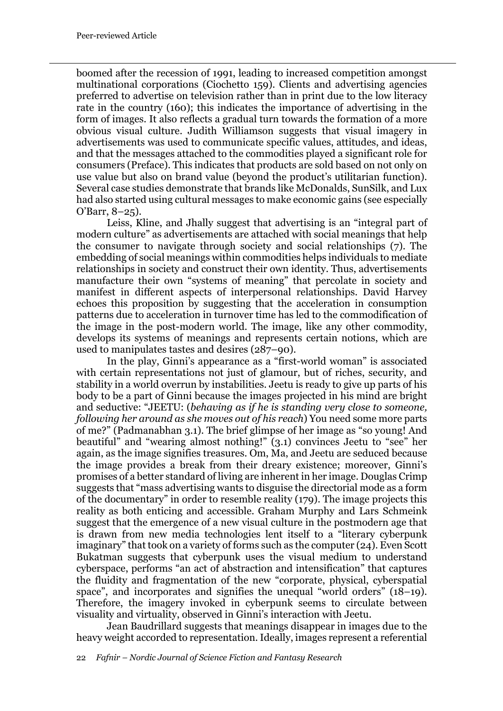boomed after the recession of 1991, leading to increased competition amongst multinational corporations (Ciochetto 159). Clients and advertising agencies preferred to advertise on television rather than in print due to the low literacy rate in the country (160); this indicates the importance of advertising in the form of images. It also reflects a gradual turn towards the formation of a more obvious visual culture. Judith Williamson suggests that visual imagery in advertisements was used to communicate specific values, attitudes, and ideas, and that the messages attached to the commodities played a significant role for consumers (Preface). This indicates that products are sold based on not only on use value but also on brand value (beyond the product's utilitarian function). Several case studies demonstrate that brands like McDonalds, SunSilk, and Lux had also started using cultural messages to make economic gains (see especially O'Barr, 8–25).

Leiss, Kline, and Jhally suggest that advertising is an "integral part of modern culture" as advertisements are attached with social meanings that help the consumer to navigate through society and social relationships (7). The embedding of social meanings within commodities helps individuals to mediate relationships in society and construct their own identity. Thus, advertisements manufacture their own "systems of meaning" that percolate in society and manifest in different aspects of interpersonal relationships. David Harvey echoes this proposition by suggesting that the acceleration in consumption patterns due to acceleration in turnover time has led to the commodification of the image in the post-modern world. The image, like any other commodity, develops its systems of meanings and represents certain notions, which are used to manipulates tastes and desires (287–90).

In the play, Ginni's appearance as a "first-world woman" is associated with certain representations not just of glamour, but of riches, security, and stability in a world overrun by instabilities. Jeetu is ready to give up parts of his body to be a part of Ginni because the images projected in his mind are bright and seductive: "JEETU: (*behaving as if he is standing very close to someone, following her around as she moves out of his reach*) You need some more parts of me?" (Padmanabhan 3.1). The brief glimpse of her image as "so young! And beautiful" and "wearing almost nothing!" (3.1) convinces Jeetu to "see" her again, as the image signifies treasures. Om, Ma, and Jeetu are seduced because the image provides a break from their dreary existence; moreover, Ginni's promises of a better standard of living are inherent in her image. Douglas Crimp suggests that "mass advertising wants to disguise the directorial mode as a form of the documentary" in order to resemble reality (179). The image projects this reality as both enticing and accessible. Graham Murphy and Lars Schmeink suggest that the emergence of a new visual culture in the postmodern age that is drawn from new media technologies lent itself to a "literary cyberpunk imaginary" that took on a variety of forms such as the computer (24). Even Scott Bukatman suggests that cyberpunk uses the visual medium to understand cyberspace, performs "an act of abstraction and intensification" that captures the fluidity and fragmentation of the new "corporate, physical, cyberspatial space", and incorporates and signifies the unequal "world orders" (18–19). Therefore, the imagery invoked in cyberpunk seems to circulate between visuality and virtuality, observed in Ginni's interaction with Jeetu.

Jean Baudrillard suggests that meanings disappear in images due to the heavy weight accorded to representation. Ideally, images represent a referential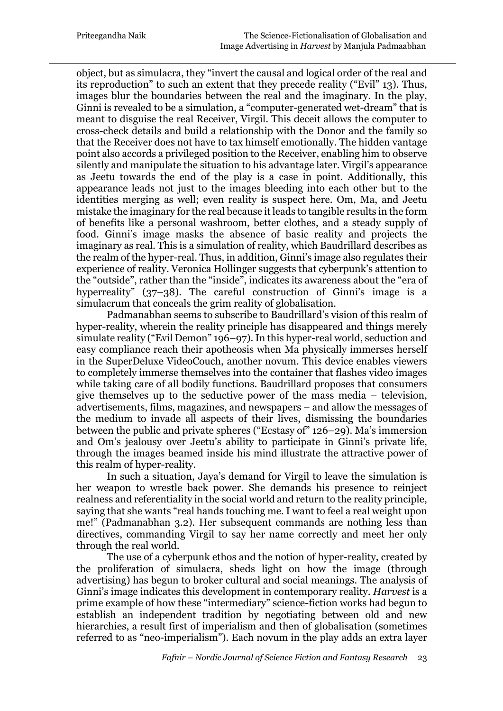object, but as simulacra, they "invert the causal and logical order of the real and its reproduction" to such an extent that they precede reality ("Evil" 13). Thus, images blur the boundaries between the real and the imaginary. In the play, Ginni is revealed to be a simulation, a "computer-generated wet-dream" that is meant to disguise the real Receiver, Virgil. This deceit allows the computer to cross-check details and build a relationship with the Donor and the family so that the Receiver does not have to tax himself emotionally. The hidden vantage point also accords a privileged position to the Receiver, enabling him to observe silently and manipulate the situation to his advantage later. Virgil's appearance as Jeetu towards the end of the play is a case in point. Additionally, this appearance leads not just to the images bleeding into each other but to the identities merging as well; even reality is suspect here. Om, Ma, and Jeetu mistake the imaginary for the real because it leads to tangible results in the form of benefits like a personal washroom, better clothes, and a steady supply of food. Ginni's image masks the absence of basic reality and projects the imaginary as real. This is a simulation of reality, which Baudrillard describes as the realm of the hyper-real. Thus, in addition, Ginni's image also regulates their experience of reality. Veronica Hollinger suggests that cyberpunk's attention to the "outside", rather than the "inside", indicates its awareness about the "era of hyperreality" (37–38). The careful construction of Ginni's image is a simulacrum that conceals the grim reality of globalisation.

Padmanabhan seems to subscribe to Baudrillard's vision of this realm of hyper-reality, wherein the reality principle has disappeared and things merely simulate reality ("Evil Demon" 196–97). In this hyper-real world, seduction and easy compliance reach their apotheosis when Ma physically immerses herself in the SuperDeluxe VideoCouch, another novum. This device enables viewers to completely immerse themselves into the container that flashes video images while taking care of all bodily functions. Baudrillard proposes that consumers give themselves up to the seductive power of the mass media – television, advertisements, films, magazines, and newspapers – and allow the messages of the medium to invade all aspects of their lives, dismissing the boundaries between the public and private spheres ("Ecstasy of" 126–29). Ma's immersion and Om's jealousy over Jeetu's ability to participate in Ginni's private life, through the images beamed inside his mind illustrate the attractive power of this realm of hyper-reality.

In such a situation, Jaya's demand for Virgil to leave the simulation is her weapon to wrestle back power. She demands his presence to reinject realness and referentiality in the social world and return to the reality principle, saying that she wants "real hands touching me. I want to feel a real weight upon me!" (Padmanabhan 3.2). Her subsequent commands are nothing less than directives, commanding Virgil to say her name correctly and meet her only through the real world.

The use of a cyberpunk ethos and the notion of hyper-reality, created by the proliferation of simulacra, sheds light on how the image (through advertising) has begun to broker cultural and social meanings. The analysis of Ginni's image indicates this development in contemporary reality. *Harvest* is a prime example of how these "intermediary" science-fiction works had begun to establish an independent tradition by negotiating between old and new hierarchies, a result first of imperialism and then of globalisation (sometimes referred to as "neo-imperialism"). Each novum in the play adds an extra layer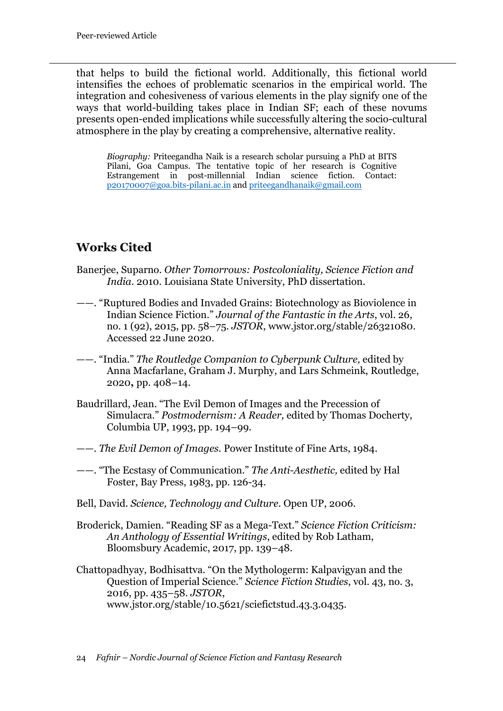that helps to build the fictional world. Additionally, this fictional world intensifies the echoes of problematic scenarios in the empirical world. The integration and cohesiveness of various elements in the play signify one of the ways that world-building takes place in Indian SF; each of these novums presents open-ended implications while successfully altering the socio-cultural atmosphere in the play by creating a comprehensive, alternative reality.

*Biography:* Priteegandha Naik is a research scholar pursuing a PhD at BITS Pilani, Goa Campus. The tentative topic of her research is Cognitive Estrangement in post-millennial Indian science fiction. Contact: p20170007@goa.bits-pilani.ac.in and priteegandhanaik@gmail.com

## **Works Cited**

- Banerjee, Suparno. *Other Tomorrows: Postcoloniality, Science Fiction and India*. 2010. Louisiana State University, PhD dissertation.
- ——. "Ruptured Bodies and Invaded Grains: Biotechnology as Bioviolence in Indian Science Fiction." *Journal of the Fantastic in the Arts*, vol. 26, no. 1 (92), 2015, pp. 58–75. *JSTOR*, www.jstor.org/stable/26321080. Accessed 22 June 2020.
- ——. "India." *The Routledge Companion to Cyberpunk Culture,* edited by Anna Macfarlane, Graham J. Murphy, and Lars Schmeink, Routledge, 2020**,** pp. 408–14.
- Baudrillard, Jean. "The Evil Demon of Images and the Precession of Simulacra." *Postmodernism: A Reader,* edited by Thomas Docherty, Columbia UP, 1993, pp. 194–99.
- ——. *The Evil Demon of Images.* Power Institute of Fine Arts, 1984.
- ——. "The Ecstasy of Communication." *The Anti-Aesthetic,* edited by Hal Foster, Bay Press, 1983, pp. 126-34.
- Bell, David. *Science, Technology and Culture*. Open UP, 2006.
- Broderick, Damien. "Reading SF as a Mega-Text." *Science Fiction Criticism: An Anthology of Essential Writings*, edited by Rob Latham, Bloomsbury Academic, 2017, pp. 139–48.
- Chattopadhyay, Bodhisattva. "On the Mythologerm: Kalpavigyan and the Question of Imperial Science." *Science Fiction Studies*, vol. 43, no. 3, 2016, pp. 435–58. *JSTOR*, www.jstor.org/stable/10.5621/sciefictstud.43.3.0435.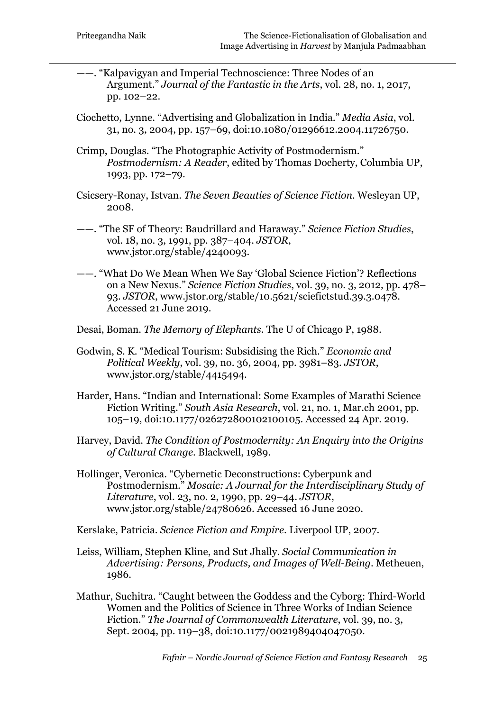——. "Kalpavigyan and Imperial Technoscience: Three Nodes of an Argument." *Journal of the Fantastic in the Arts*, vol. 28, no. 1, 2017, pp. 102–22.

Ciochetto, Lynne. "Advertising and Globalization in India." *Media Asia*, vol. 31, no. 3, 2004, pp. 157–69, doi:10.1080/01296612.2004.11726750.

Crimp, Douglas. "The Photographic Activity of Postmodernism." *Postmodernism: A Reader*, edited by Thomas Docherty, Columbia UP, 1993, pp. 172–79.

- Csicsery-Ronay, Istvan. *The Seven Beauties of Science Fiction*. Wesleyan UP, 2008.
- ——. "The SF of Theory: Baudrillard and Haraway." *Science Fiction Studies*, vol. 18, no. 3, 1991, pp. 387–404. *JSTOR*, www.jstor.org/stable/4240093.
- ——. "What Do We Mean When We Say 'Global Science Fiction'? Reflections on a New Nexus." *Science Fiction Studies*, vol. 39, no. 3, 2012, pp. 478– 93. *JSTOR*, www.jstor.org/stable/10.5621/sciefictstud.39.3.0478. Accessed 21 June 2019.
- Desai, Boman. *The Memory of Elephants.* The U of Chicago P, 1988.
- Godwin, S. K. "Medical Tourism: Subsidising the Rich." *Economic and Political Weekly*, vol. 39, no. 36, 2004, pp. 3981–83. *JSTOR*, www.jstor.org/stable/4415494.
- Harder, Hans. "Indian and International: Some Examples of Marathi Science Fiction Writing." *South Asia Research*, vol. 21, no. 1, Mar.ch 2001, pp. 105–19, doi:10.1177/026272800102100105. Accessed 24 Apr. 2019.
- Harvey, David. *The Condition of Postmodernity: An Enquiry into the Origins of Cultural Change*. Blackwell, 1989.
- Hollinger, Veronica. "Cybernetic Deconstructions: Cyberpunk and Postmodernism." *Mosaic: A Journal for the Interdisciplinary Study of Literature*, vol. 23, no. 2, 1990, pp. 29–44. *JSTOR*, www.jstor.org/stable/24780626. Accessed 16 June 2020.

Kerslake, Patricia. *Science Fiction and Empire*. Liverpool UP, 2007.

- Leiss, William, Stephen Kline, and Sut Jhally. *Social Communication in Advertising: Persons, Products, and Images of Well-Being*. Metheuen, 1986.
- Mathur, Suchitra*.* "Caught between the Goddess and the Cyborg: Third-World Women and the Politics of Science in Three Works of Indian Science Fiction." *The Journal of Commonwealth Literature*, vol. 39, no. 3, Sept. 2004, pp. 119–38, doi:10.1177/0021989404047050.